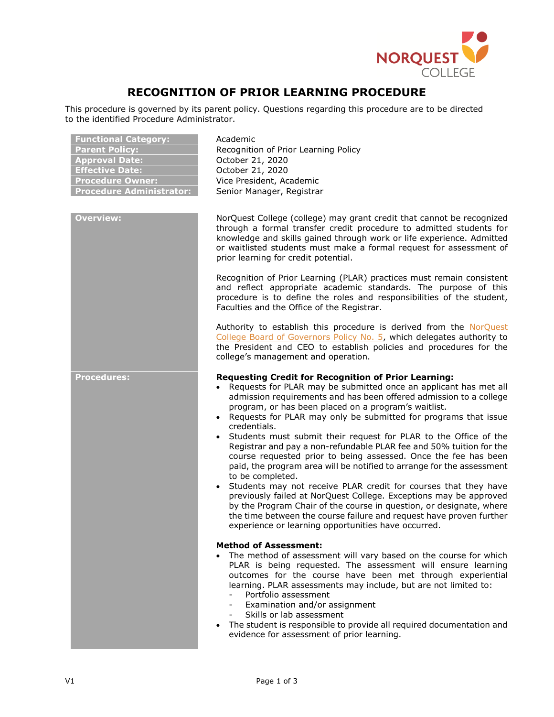

# **RECOGNITION OF PRIOR LEARNING PROCEDURE**

This procedure is governed by its parent policy. Questions regarding this procedure are to be directed to the identified Procedure Administrator.

| <b>Functional Category:</b><br><b>Parent Policy:</b><br><b>Approval Date:</b><br><b>Effective Date:</b><br><b>Procedure Owner:</b><br><b>Procedure Administrator:</b> | Academic<br>Recognition of Prior Learning Policy<br>October 21, 2020<br>October 21, 2020<br>Vice President, Academic<br>Senior Manager, Registrar                                                                                                                                                                                                                                                                                                                                                                                                                                                                                                                                                                                                                                                                                                                                                                                                                                                                |
|-----------------------------------------------------------------------------------------------------------------------------------------------------------------------|------------------------------------------------------------------------------------------------------------------------------------------------------------------------------------------------------------------------------------------------------------------------------------------------------------------------------------------------------------------------------------------------------------------------------------------------------------------------------------------------------------------------------------------------------------------------------------------------------------------------------------------------------------------------------------------------------------------------------------------------------------------------------------------------------------------------------------------------------------------------------------------------------------------------------------------------------------------------------------------------------------------|
| <b>Overview:</b>                                                                                                                                                      | NorQuest College (college) may grant credit that cannot be recognized<br>through a formal transfer credit procedure to admitted students for<br>knowledge and skills gained through work or life experience. Admitted<br>or waitlisted students must make a formal request for assessment of<br>prior learning for credit potential.                                                                                                                                                                                                                                                                                                                                                                                                                                                                                                                                                                                                                                                                             |
|                                                                                                                                                                       | Recognition of Prior Learning (PLAR) practices must remain consistent<br>and reflect appropriate academic standards. The purpose of this<br>procedure is to define the roles and responsibilities of the student,<br>Faculties and the Office of the Registrar.                                                                                                                                                                                                                                                                                                                                                                                                                                                                                                                                                                                                                                                                                                                                                  |
|                                                                                                                                                                       | Authority to establish this procedure is derived from the NorQuest<br>College Board of Governors Policy No. 5, which delegates authority to<br>the President and CEO to establish policies and procedures for the<br>college's management and operation.                                                                                                                                                                                                                                                                                                                                                                                                                                                                                                                                                                                                                                                                                                                                                         |
| <b>Procedures:</b>                                                                                                                                                    | <b>Requesting Credit for Recognition of Prior Learning:</b><br>• Requests for PLAR may be submitted once an applicant has met all<br>admission requirements and has been offered admission to a college<br>program, or has been placed on a program's waitlist.<br>• Requests for PLAR may only be submitted for programs that issue<br>credentials.<br>• Students must submit their request for PLAR to the Office of the<br>Registrar and pay a non-refundable PLAR fee and 50% tuition for the<br>course requested prior to being assessed. Once the fee has been<br>paid, the program area will be notified to arrange for the assessment<br>to be completed.<br>• Students may not receive PLAR credit for courses that they have<br>previously failed at NorQuest College. Exceptions may be approved<br>by the Program Chair of the course in question, or designate, where<br>the time between the course failure and request have proven further<br>experience or learning opportunities have occurred. |
|                                                                                                                                                                       | <b>Method of Assessment:</b><br>The method of assessment will vary based on the course for which<br>PLAR is being requested. The assessment will ensure learning<br>outcomes for the course have been met through experiential<br>learning. PLAR assessments may include, but are not limited to:<br>Portfolio assessment<br>Examination and/or assignment<br>Skills or lab assessment<br>$-$<br>The student is responsible to provide all required documentation and<br>evidence for assessment of prior learning.                                                                                                                                                                                                                                                                                                                                                                                                                                                                                              |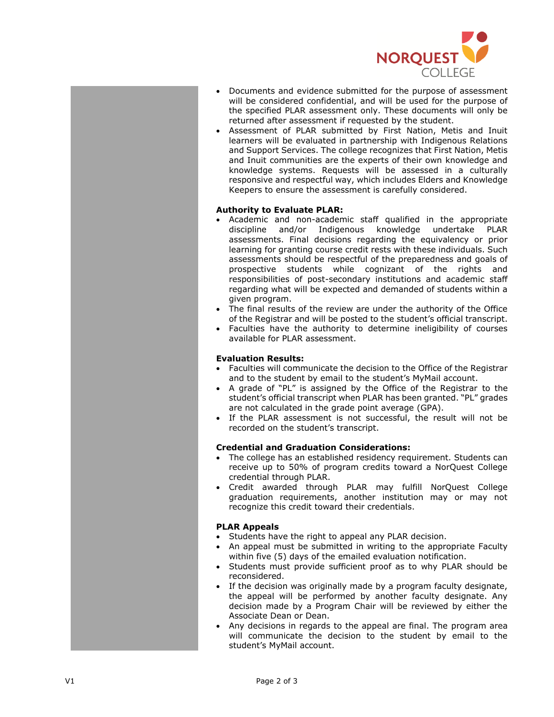

- Documents and evidence submitted for the purpose of assessment will be considered confidential, and will be used for the purpose of the specified PLAR assessment only. These documents will only be returned after assessment if requested by the student.
- Assessment of PLAR submitted by First Nation, Metis and Inuit learners will be evaluated in partnership with Indigenous Relations and Support Services. The college recognizes that First Nation, Metis and Inuit communities are the experts of their own knowledge and knowledge systems. Requests will be assessed in a culturally responsive and respectful way, which includes Elders and Knowledge Keepers to ensure the assessment is carefully considered.

## **Authority to Evaluate PLAR:**

- Academic and non-academic staff qualified in the appropriate discipline and/or Indigenous knowledge undertake PLAR assessments. Final decisions regarding the equivalency or prior learning for granting course credit rests with these individuals. Such assessments should be respectful of the preparedness and goals of prospective students while cognizant of the rights and responsibilities of post-secondary institutions and academic staff regarding what will be expected and demanded of students within a given program.
- The final results of the review are under the authority of the Office of the Registrar and will be posted to the student's official transcript.
- Faculties have the authority to determine ineligibility of courses available for PLAR assessment.

### **Evaluation Results:**

- Faculties will communicate the decision to the Office of the Registrar and to the student by email to the student's MyMail account.
- A grade of "PL" is assigned by the Office of the Registrar to the student 's official transcript when PLAR has been granted. "PL" grades are not calculated in the grade point average (GPA) .
- If the PLAR assessment is not successful, the result will not be recorded on the student's transcript.

### **Credential and Graduation Considerations:**

- The college has an established residency requirement. Students can receive up to 50% of program credits toward a NorQuest College credential through PLAR.
- Credit awarded through PLAR may fulfill NorQuest College graduation requirements, another institution may or may not recognize this credit toward their credentials.

#### **PLAR Appeals**

- Students have the right to appeal any PLAR decision.
- An appeal must be submitted in writing to the appropriate Faculty within five ( 5 ) day s of the emailed evaluation notification.
- Students must provide sufficient proof as to why PLAR should be reconsidered.
- If the decision was originally made by a program faculty designate, the appeal will be performed by another faculty designate. Any decision made by a Program Chair will be reviewed by either the Associate Dean or Dean.
- Any decisions in regards to the appeal are final. The program area will communicate the decision to the student by email to the student's MyMail account.